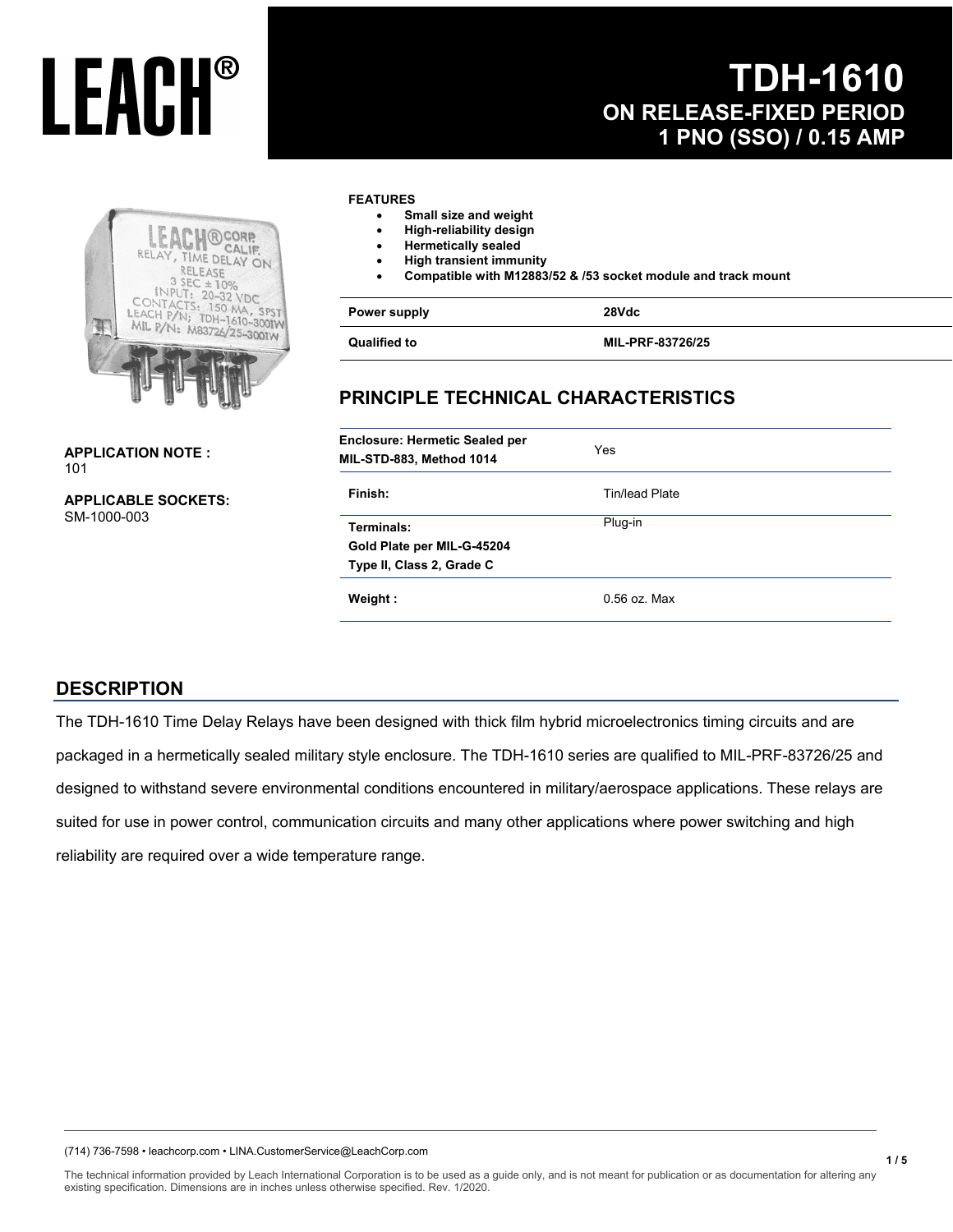### **TDH-1610 ON RELEASE-FIXED PERIOD 1 PNO (SSO) / 0.15 AMP**



**APPLICATION NOTE :**  101

**APPLICABLE SOCKETS:**  SM-1000-003

#### **FEATURES**

- **Small size and weight**
- **High-reliability design**
- **Hermetically sealed**
- **High transient immunity**
- **Compatible with M12883/52 & /53 socket module and track mount**

| Power supply        | 28Vdc            |
|---------------------|------------------|
| <b>Qualified to</b> | MIL-PRF-83726/25 |

### **PRINCIPLE TECHNICAL CHARACTERISTICS**

| <b>Enclosure: Hermetic Sealed per</b><br>MIL-STD-883, Method 1014     | Yes            |
|-----------------------------------------------------------------------|----------------|
| Finish:                                                               | Tin/lead Plate |
| Terminals:<br>Gold Plate per MIL-G-45204<br>Type II, Class 2, Grade C | Plug-in        |
| Weight:                                                               | $0.56$ oz. Max |

#### **DESCRIPTION**

The TDH-1610 Time Delay Relays have been designed with thick film hybrid microelectronics timing circuits and are packaged in a hermetically sealed military style enclosure. The TDH-1610 series are qualified to MIL-PRF-83726/25 and designed to withstand severe environmental conditions encountered in military/aerospace applications. These relays are suited for use in power control, communication circuits and many other applications where power switching and high reliability are required over a wide temperature range.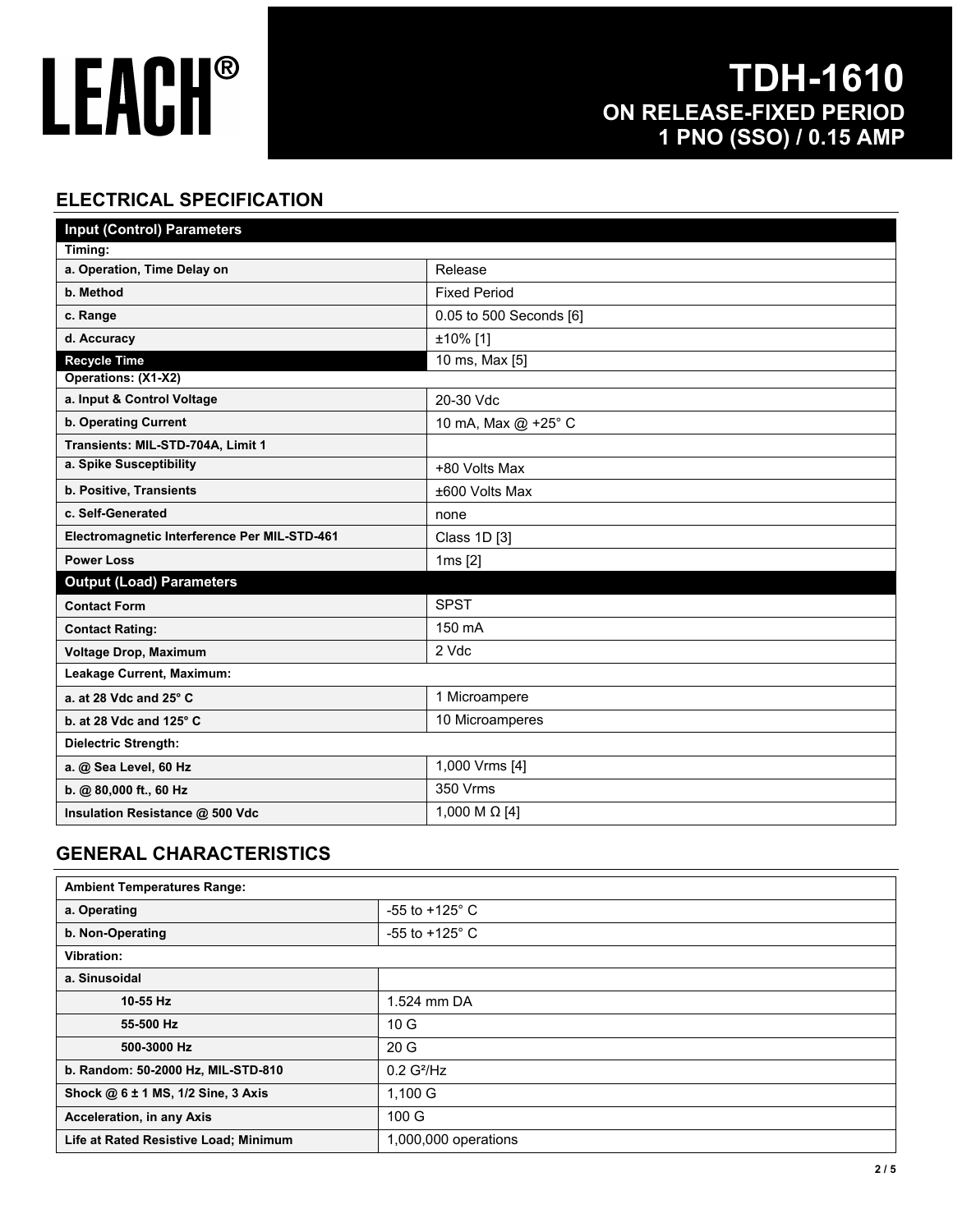### **TDH-1610 ON RELEASE-FIXED PERIOD 1 PNO (SSO) / 0.15 AMP**

### **ELECTRICAL SPECIFICATION**

| <b>Input (Control) Parameters</b>            |                             |  |
|----------------------------------------------|-----------------------------|--|
| Timing:                                      |                             |  |
| a. Operation, Time Delay on                  | Release                     |  |
| b. Method                                    | <b>Fixed Period</b>         |  |
| c. Range                                     | 0.05 to 500 Seconds [6]     |  |
| d. Accuracy                                  | ±10% [1]                    |  |
| <b>Recycle Time</b>                          | $\overline{10}$ ms, Max [5] |  |
| Operations: (X1-X2)                          |                             |  |
| a. Input & Control Voltage                   | 20-30 Vdc                   |  |
| b. Operating Current                         | 10 mA, Max @ +25° C         |  |
| Transients: MIL-STD-704A, Limit 1            |                             |  |
| a. Spike Susceptibility                      | +80 Volts Max               |  |
| b. Positive, Transients                      | ±600 Volts Max              |  |
| c. Self-Generated                            | none                        |  |
| Electromagnetic Interference Per MIL-STD-461 | Class 1D [3]                |  |
| <b>Power Loss</b>                            | $1ms$ [2]                   |  |
| <b>Output (Load) Parameters</b>              |                             |  |
| <b>Contact Form</b>                          | <b>SPST</b>                 |  |
| <b>Contact Rating:</b>                       | 150 mA                      |  |
| Voltage Drop, Maximum                        | 2 Vdc                       |  |
| Leakage Current, Maximum:                    |                             |  |
| a. at 28 Vdc and $25^\circ$ C                | 1 Microampere               |  |
| b. at 28 Vdc and 125° C                      | 10 Microamperes             |  |
| <b>Dielectric Strength:</b>                  |                             |  |
| a. @ Sea Level, 60 Hz                        | 1,000 Vrms [4]              |  |
| b. @ 80,000 ft., 60 Hz                       | 350 Vrms                    |  |
| Insulation Resistance @ 500 Vdc              | 1,000 M $\Omega$ [4]        |  |

### **GENERAL CHARACTERISTICS**

| <b>Ambient Temperatures Range:</b>    |                           |
|---------------------------------------|---------------------------|
| a. Operating                          | $-55$ to $+125^{\circ}$ C |
| b. Non-Operating                      | $-55$ to $+125^{\circ}$ C |
| Vibration:                            |                           |
| a. Sinusoidal                         |                           |
| 10-55 Hz                              | 1.524 mm DA               |
| 55-500 Hz                             | 10G                       |
| 500-3000 Hz                           | 20G                       |
| b. Random: 50-2000 Hz, MIL-STD-810    | 0.2 G <sup>2</sup> /Hz    |
| Shock @ 6 ± 1 MS, 1/2 Sine, 3 Axis    | $1,100$ G                 |
| <b>Acceleration, in any Axis</b>      | 100 G                     |
| Life at Rated Resistive Load; Minimum | 1,000,000 operations      |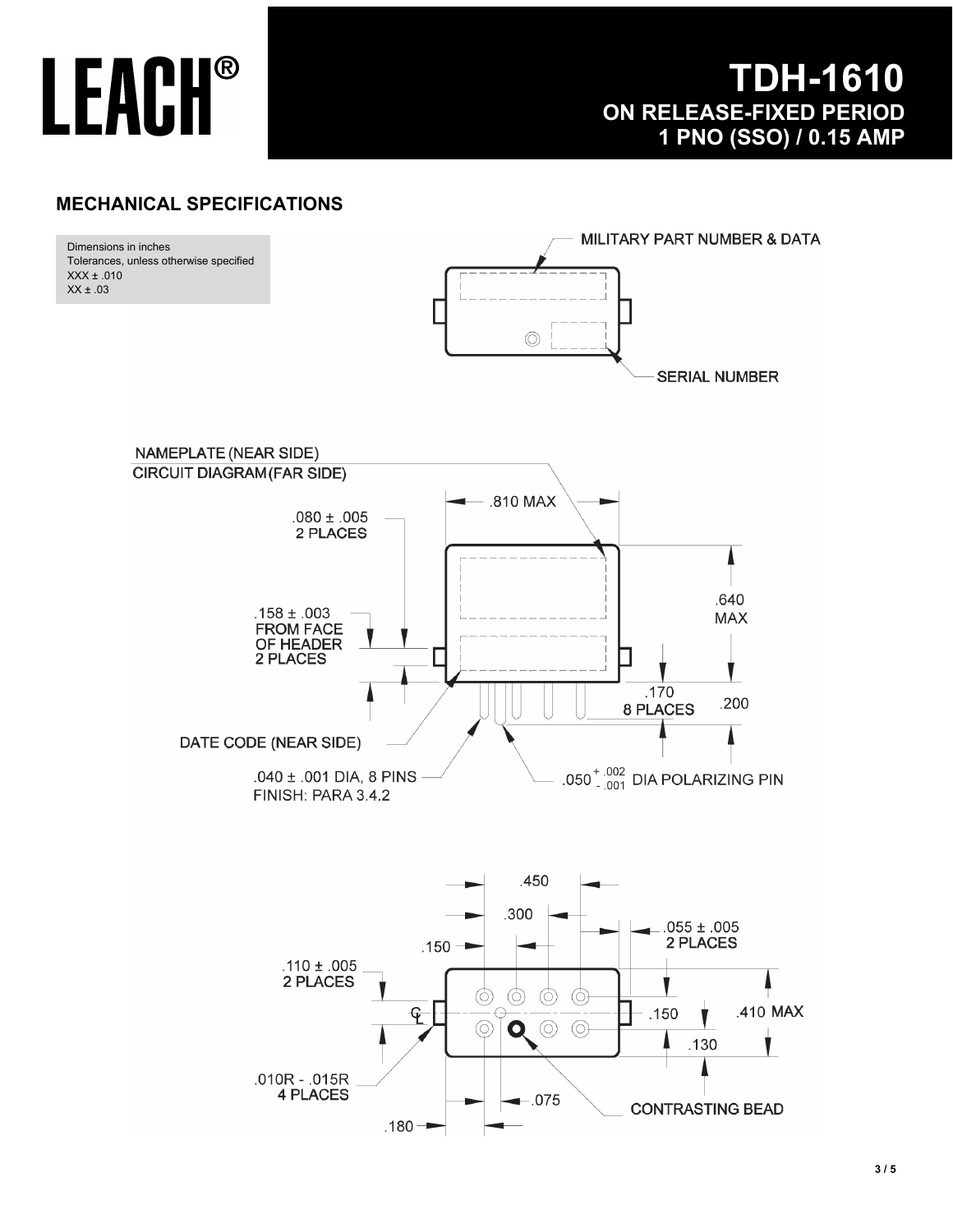### **TDH-1610 ON RELEASE-FIXED PERIOD 1 PNO (SSO) / 0.15 AMP**

### **MECHANICAL SPECIFICATIONS**

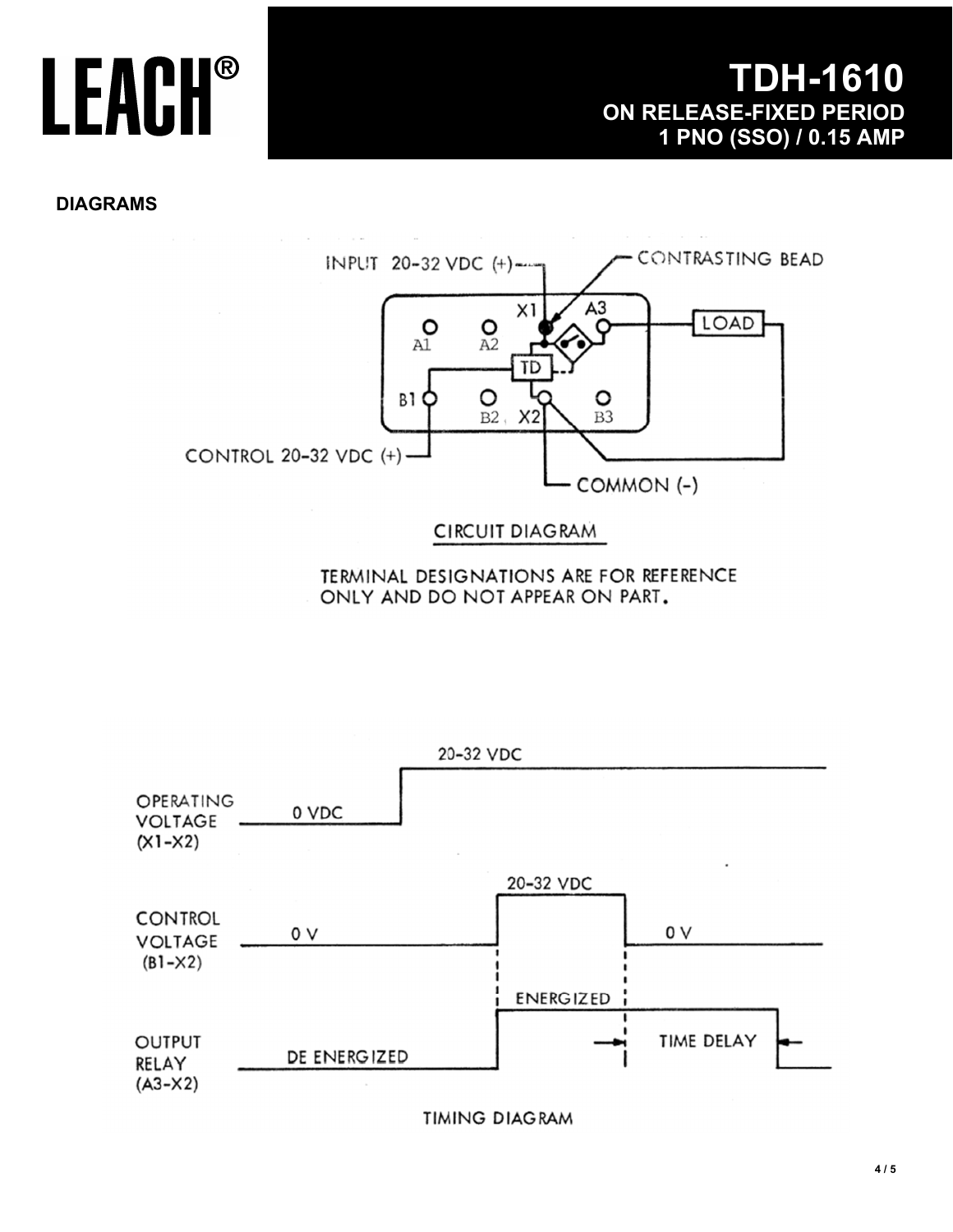**DIAGRAMS** 



TERMINAL DESIGNATIONS ARE FOR REFERENCE ONLY AND DO NOT APPEAR ON PART.



**TIMING DIAGRAM**